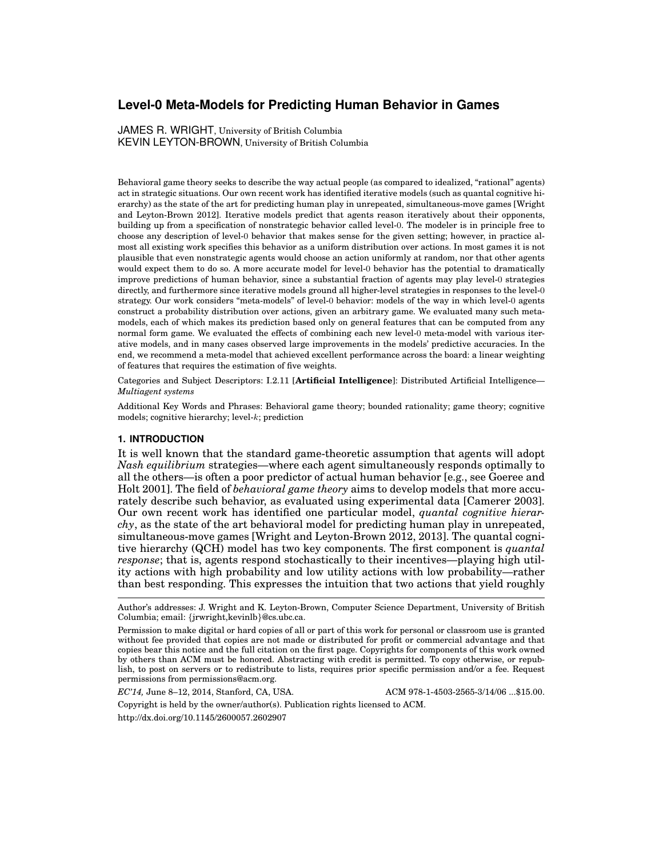# **Level-0 Meta-Models for Predicting Human Behavior in Games**

JAMES R. WRIGHT, University of British Columbia KEVIN LEYTON-BROWN, University of British Columbia

Behavioral game theory seeks to describe the way actual people (as compared to idealized, "rational" agents) act in strategic situations. Our own recent work has identified iterative models (such as quantal cognitive hierarchy) as the state of the art for predicting human play in unrepeated, simultaneous-move games [Wright and Leyton-Brown 2012]. Iterative models predict that agents reason iteratively about their opponents, building up from a specification of nonstrategic behavior called level-0. The modeler is in principle free to choose any description of level-0 behavior that makes sense for the given setting; however, in practice almost all existing work specifies this behavior as a uniform distribution over actions. In most games it is not plausible that even nonstrategic agents would choose an action uniformly at random, nor that other agents would expect them to do so. A more accurate model for level-0 behavior has the potential to dramatically improve predictions of human behavior, since a substantial fraction of agents may play level-0 strategies directly, and furthermore since iterative models ground all higher-level strategies in responses to the level-0 strategy. Our work considers "meta-models" of level-0 behavior: models of the way in which level-0 agents construct a probability distribution over actions, given an arbitrary game. We evaluated many such metamodels, each of which makes its prediction based only on general features that can be computed from any normal form game. We evaluated the effects of combining each new level-0 meta-model with various iterative models, and in many cases observed large improvements in the models' predictive accuracies. In the end, we recommend a meta-model that achieved excellent performance across the board: a linear weighting of features that requires the estimation of five weights.

Categories and Subject Descriptors: I.2.11 [**Artificial Intelligence**]: Distributed Artificial Intelligence— *Multiagent systems*

Additional Key Words and Phrases: Behavioral game theory; bounded rationality; game theory; cognitive models; cognitive hierarchy; level- $k$ ; prediction

# **1. INTRODUCTION**

It is well known that the standard game-theoretic assumption that agents will adopt *Nash equilibrium* strategies—where each agent simultaneously responds optimally to all the others—is often a poor predictor of actual human behavior [e.g., see Goeree and Holt 2001]. The field of *behavioral game theory* aims to develop models that more accurately describe such behavior, as evaluated using experimental data [Camerer 2003]. Our own recent work has identified one particular model, *quantal cognitive hierarchy*, as the state of the art behavioral model for predicting human play in unrepeated, simultaneous-move games [Wright and Leyton-Brown 2012, 2013]. The quantal cognitive hierarchy (QCH) model has two key components. The first component is *quantal response*; that is, agents respond stochastically to their incentives—playing high utility actions with high probability and low utility actions with low probability—rather than best responding. This expresses the intuition that two actions that yield roughly

*EC'14,* June 8–12, 2014, Stanford, CA, USA. ACM 978-1-4503-2565-3/14/06 ...\$15.00.

Copyright is held by the owner/author(s). Publication rights licensed to ACM.

http://dx.doi.org/10.1145/2600057.2602907

Author's addresses: J. Wright and K. Leyton-Brown, Computer Science Department, University of British Columbia; email: {jrwright,kevinlb}@cs.ubc.ca.

Permission to make digital or hard copies of all or part of this work for personal or classroom use is granted without fee provided that copies are not made or distributed for profit or commercial advantage and that copies bear this notice and the full citation on the first page. Copyrights for components of this work owned by others than ACM must be honored. Abstracting with credit is permitted. To copy otherwise, or republish, to post on servers or to redistribute to lists, requires prior specific permission and/or a fee. Request permissions from permissions@acm.org.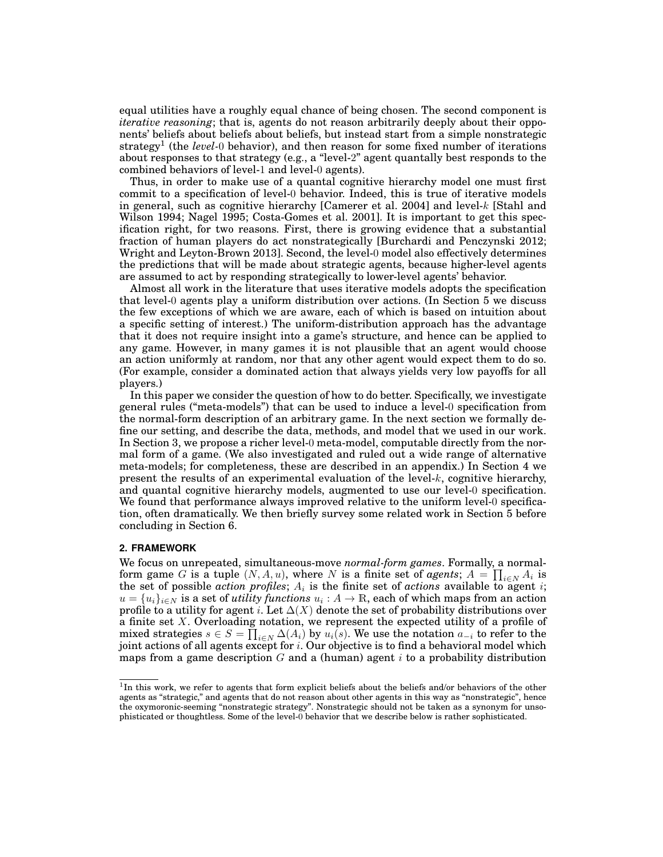equal utilities have a roughly equal chance of being chosen. The second component is *iterative reasoning*; that is, agents do not reason arbitrarily deeply about their opponents' beliefs about beliefs about beliefs, but instead start from a simple nonstrategic strategy<sup>1</sup> (the *level-*0 behavior), and then reason for some fixed number of iterations about responses to that strategy (e.g., a "level-2" agent quantally best responds to the combined behaviors of level-1 and level-0 agents).

Thus, in order to make use of a quantal cognitive hierarchy model one must first commit to a specification of level-0 behavior. Indeed, this is true of iterative models in general, such as cognitive hierarchy [Camerer et al. 2004] and level-k [Stahl and Wilson 1994; Nagel 1995; Costa-Gomes et al. 2001]. It is important to get this specification right, for two reasons. First, there is growing evidence that a substantial fraction of human players do act nonstrategically [Burchardi and Penczynski 2012; Wright and Leyton-Brown 2013]. Second, the level-0 model also effectively determines the predictions that will be made about strategic agents, because higher-level agents are assumed to act by responding strategically to lower-level agents' behavior.

Almost all work in the literature that uses iterative models adopts the specification that level-0 agents play a uniform distribution over actions. (In Section 5 we discuss the few exceptions of which we are aware, each of which is based on intuition about a specific setting of interest.) The uniform-distribution approach has the advantage that it does not require insight into a game's structure, and hence can be applied to any game. However, in many games it is not plausible that an agent would choose an action uniformly at random, nor that any other agent would expect them to do so. (For example, consider a dominated action that always yields very low payoffs for all players.)

In this paper we consider the question of how to do better. Specifically, we investigate general rules ("meta-models") that can be used to induce a level-0 specification from the normal-form description of an arbitrary game. In the next section we formally define our setting, and describe the data, methods, and model that we used in our work. In Section 3, we propose a richer level-0 meta-model, computable directly from the normal form of a game. (We also investigated and ruled out a wide range of alternative meta-models; for completeness, these are described in an appendix.) In Section 4 we present the results of an experimental evaluation of the level-k, cognitive hierarchy, and quantal cognitive hierarchy models, augmented to use our level-0 specification. We found that performance always improved relative to the uniform level-0 specification, often dramatically. We then briefly survey some related work in Section 5 before concluding in Section 6.

#### **2. FRAMEWORK**

We focus on unrepeated, simultaneous-move *normal-form games*. Formally, a normalform game G is a tuple  $(N, A, u)$ , where N is a finite set of *agents*;  $A = \prod_{i \in N} A_i$  is the set of possible *action profiles*;  $A_i$  is the finite set of *actions* available to agent *i*;  $u = \{u_i\}_{i \in N}$  is a set of *utility functions*  $u_i : A \to \mathbb{R}$ , each of which maps from an action profile to a utility for agent i. Let  $\Delta(X)$  denote the set of probability distributions over a finite set  $X$ . Overloading notation, we represent the expected utility of a profile of mixed strategies  $s \in S = \prod_{i \in N} \Delta(A_i)$  by  $u_i(s)$ . We use the notation  $a_{-i}$  to refer to the joint actions of all agents except for  $i.$  Our objective is to find a behavioral model which maps from a game description  $G$  and a (human) agent  $i$  to a probability distribution

<sup>&</sup>lt;sup>1</sup>In this work, we refer to agents that form explicit beliefs about the beliefs and/or behaviors of the other agents as "strategic," and agents that do not reason about other agents in this way as "nonstrategic", hence the oxymoronic-seeming "nonstrategic strategy". Nonstrategic should not be taken as a synonym for unsophisticated or thoughtless. Some of the level-0 behavior that we describe below is rather sophisticated.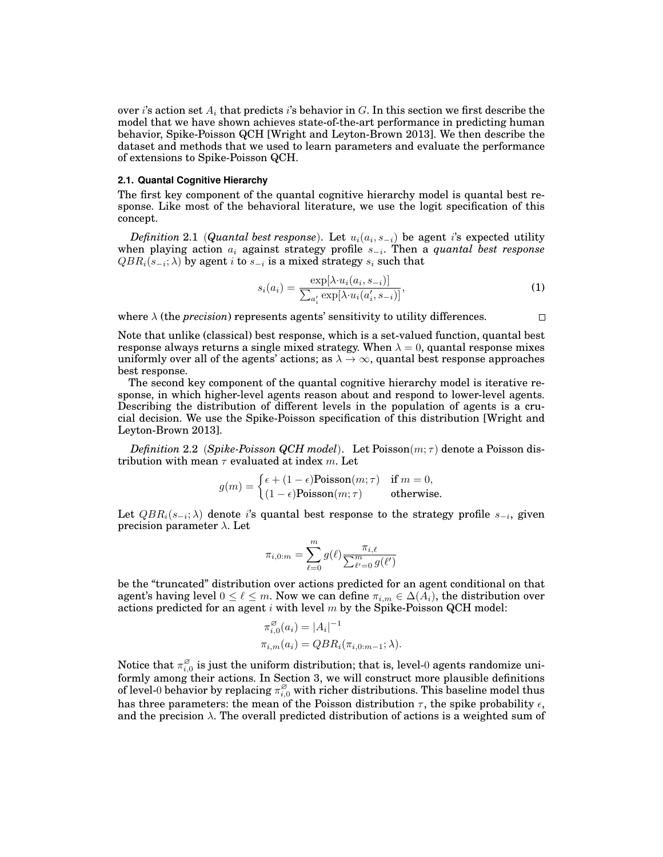over i's action set  $A_i$  that predicts i's behavior in G. In this section we first describe the model that we have shown achieves state-of-the-art performance in predicting human behavior, Spike-Poisson QCH [Wright and Leyton-Brown 2013]. We then describe the dataset and methods that we used to learn parameters and evaluate the performance of extensions to Spike-Poisson QCH.

## **2.1. Quantal Cognitive Hierarchy**

The first key component of the quantal cognitive hierarchy model is quantal best response. Like most of the behavioral literature, we use the logit specification of this concept.

 $Definition 2.1$  (*Quantal best response*). Let  $u_i(a_i, s_{-i})$  be agent i's expected utility when playing action a<sub>i</sub> against strategy profile s<sub>−i</sub>. Then a *quantal best response*  $QBR_i(s_{-i};\lambda)$  by agent  $i$  to  $s_{-i}$  is a mixed strategy  $s_i$  such that

$$
s_i(a_i) = \frac{\exp[\lambda \cdot u_i(a_i, s_{-i})]}{\sum_{a'_i} \exp[\lambda \cdot u_i(a'_i, s_{-i})]},
$$
\n(1)

where  $\lambda$  (the *precision*) represents agents' sensitivity to utility differences.

 $\Box$ 

Note that unlike (classical) best response, which is a set-valued function, quantal best response always returns a single mixed strategy. When  $\lambda = 0$ , quantal response mixes uniformly over all of the agents' actions; as  $\lambda \to \infty$ , quantal best response approaches best response.

The second key component of the quantal cognitive hierarchy model is iterative response, in which higher-level agents reason about and respond to lower-level agents. Describing the distribution of different levels in the population of agents is a crucial decision. We use the Spike-Poisson specification of this distribution [Wright and Leyton-Brown 2013].

*Definition* 2.2 (*Spike-Poisson QCH model*). Let Poisson $(m, \tau)$  denote a Poisson distribution with mean  $\tau$  evaluated at index m. Let

$$
g(m) = \begin{cases} \epsilon + (1-\epsilon)\text{Poisson}(m;\tau) & \text{if } m = 0,\\ (1-\epsilon)\text{Poisson}(m;\tau) & \text{otherwise.} \end{cases}
$$

Let  $QBR_i(s_{-i};\lambda)$  denote i's quantal best response to the strategy profile  $s_{-i}$ , given precision parameter  $\lambda$ . Let

$$
\pi_{i,0:m} = \sum_{\ell=0}^{m} g(\ell) \frac{\pi_{i,\ell}}{\sum_{\ell'=0}^{m} g(\ell')}
$$

be the "truncated" distribution over actions predicted for an agent conditional on that agent's having level  $0 \leq \ell \leq m$ . Now we can define  $\pi_{i,m} \in \Delta(A_i)$ , the distribution over actions predicted for an agent i with level m by the Spike-Poisson QCH model:

$$
\pi_{i,0}^{\varnothing}(a_i) = |A_i|^{-1}
$$
  

$$
\pi_{i,m}(a_i) = QBR_i(\pi_{i,0:m-1}; \lambda).
$$

Notice that  $\pi_{i,j}^{\varnothing}$  $\sum_{i,0}^{\varnothing}$  is just the uniform distribution; that is, level-0 agents randomize uniformly among their actions. In Section 3, we will construct more plausible definitions of level-0 behavior by replacing  $\pi^{\emptyset}_{i,0}$  with richer distributions. This baseline model thus has three parameters: the mean of the Poisson distribution  $\tau$ , the spike probability  $\epsilon$ , and the precision  $\lambda$ . The overall predicted distribution of actions is a weighted sum of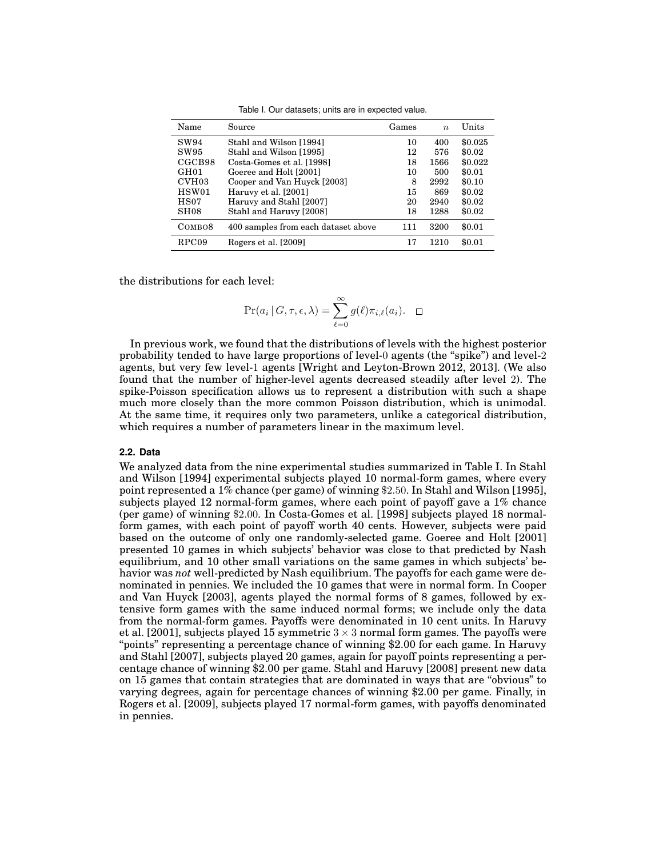| Table I. Our datasets; units are in expected value. |  |  |  |  |  |  |  |  |  |
|-----------------------------------------------------|--|--|--|--|--|--|--|--|--|
|-----------------------------------------------------|--|--|--|--|--|--|--|--|--|

| Name               | Source                              | Games | $\boldsymbol{n}$ | Units   |
|--------------------|-------------------------------------|-------|------------------|---------|
| SW94               | Stahl and Wilson [1994]             | 10    | 400              | \$0.025 |
| <b>SW95</b>        | Stahl and Wilson [1995]             | 12    | 576              | \$0.02  |
| CGCB98             | Costa-Gomes et al. [1998]           | 18    | 1566             | \$0.022 |
| GH <sub>01</sub>   | Goeree and Holt [2001]              | 10    | 500              | \$0.01  |
| CVH <sub>03</sub>  | Cooper and Van Huyck [2003]         | 8     | 2992             | \$0.10  |
| HSW01              | Haruvy et al. [2001]                | 15    | 869              | \$0.02  |
| H <sub>S07</sub>   | Haruvy and Stahl [2007]             | 20    | 2940             | \$0.02  |
| SH08               | Stahl and Haruvy [2008]             | 18    | 1288             | \$0.02  |
| COMBO <sub>8</sub> | 400 samples from each dataset above | 111   | 3200             | \$0.01  |
| RPC09              | Rogers et al. [2009]                | 17    | 1210             | \$0.01  |

the distributions for each level:

$$
\Pr(a_i | G, \tau, \epsilon, \lambda) = \sum_{\ell=0}^{\infty} g(\ell) \pi_{i,\ell}(a_i). \quad \Box
$$

In previous work, we found that the distributions of levels with the highest posterior probability tended to have large proportions of level-0 agents (the "spike") and level-2 agents, but very few level-1 agents [Wright and Leyton-Brown 2012, 2013]. (We also found that the number of higher-level agents decreased steadily after level 2). The spike-Poisson specification allows us to represent a distribution with such a shape much more closely than the more common Poisson distribution, which is unimodal. At the same time, it requires only two parameters, unlike a categorical distribution, which requires a number of parameters linear in the maximum level.

#### **2.2. Data**

We analyzed data from the nine experimental studies summarized in Table I. In Stahl and Wilson [1994] experimental subjects played 10 normal-form games, where every point represented a 1% chance (per game) of winning \$2.50. In Stahl and Wilson [1995], subjects played 12 normal-form games, where each point of payoff gave a 1% chance (per game) of winning \$2.00. In Costa-Gomes et al. [1998] subjects played 18 normalform games, with each point of payoff worth 40 cents. However, subjects were paid based on the outcome of only one randomly-selected game. Goeree and Holt [2001] presented 10 games in which subjects' behavior was close to that predicted by Nash equilibrium, and 10 other small variations on the same games in which subjects' behavior was *not* well-predicted by Nash equilibrium. The payoffs for each game were denominated in pennies. We included the 10 games that were in normal form. In Cooper and Van Huyck [2003], agents played the normal forms of 8 games, followed by extensive form games with the same induced normal forms; we include only the data from the normal-form games. Payoffs were denominated in 10 cent units. In Haruvy et al. [2001], subjects played 15 symmetric  $3 \times 3$  normal form games. The payoffs were "points" representing a percentage chance of winning \$2.00 for each game. In Haruvy and Stahl [2007], subjects played 20 games, again for payoff points representing a percentage chance of winning \$2.00 per game. Stahl and Haruvy [2008] present new data on 15 games that contain strategies that are dominated in ways that are "obvious" to varying degrees, again for percentage chances of winning \$2.00 per game. Finally, in Rogers et al. [2009], subjects played 17 normal-form games, with payoffs denominated in pennies.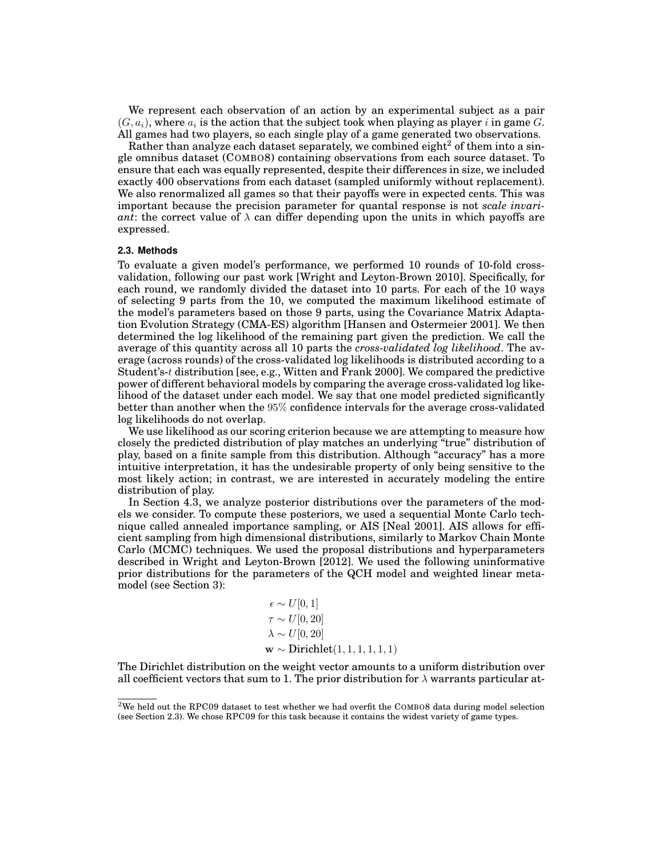We represent each observation of an action by an experimental subject as a pair  $(G, a_i)$ , where  $a_i$  is the action that the subject took when playing as player i in game G. All games had two players, so each single play of a game generated two observations.

Rather than analyze each dataset separately, we combined eight<sup>2</sup> of them into a single omnibus dataset (COMBO8) containing observations from each source dataset. To ensure that each was equally represented, despite their differences in size, we included exactly 400 observations from each dataset (sampled uniformly without replacement). We also renormalized all games so that their payoffs were in expected cents. This was important because the precision parameter for quantal response is not *scale invariant*: the correct value of  $\lambda$  can differ depending upon the units in which payoffs are expressed.

## **2.3. Methods**

To evaluate a given model's performance, we performed 10 rounds of 10-fold crossvalidation, following our past work [Wright and Leyton-Brown 2010]. Specifically, for each round, we randomly divided the dataset into 10 parts. For each of the 10 ways of selecting 9 parts from the 10, we computed the maximum likelihood estimate of the model's parameters based on those 9 parts, using the Covariance Matrix Adaptation Evolution Strategy (CMA-ES) algorithm [Hansen and Ostermeier 2001]. We then determined the log likelihood of the remaining part given the prediction. We call the average of this quantity across all 10 parts the *cross-validated log likelihood*. The average (across rounds) of the cross-validated log likelihoods is distributed according to a Student's-t distribution [see, e.g., Witten and Frank 2000]. We compared the predictive power of different behavioral models by comparing the average cross-validated log likelihood of the dataset under each model. We say that one model predicted significantly better than another when the 95% confidence intervals for the average cross-validated log likelihoods do not overlap.

We use likelihood as our scoring criterion because we are attempting to measure how closely the predicted distribution of play matches an underlying "true" distribution of play, based on a finite sample from this distribution. Although "accuracy" has a more intuitive interpretation, it has the undesirable property of only being sensitive to the most likely action; in contrast, we are interested in accurately modeling the entire distribution of play.

In Section 4.3, we analyze posterior distributions over the parameters of the models we consider. To compute these posteriors, we used a sequential Monte Carlo technique called annealed importance sampling, or AIS [Neal 2001]. AIS allows for efficient sampling from high dimensional distributions, similarly to Markov Chain Monte Carlo (MCMC) techniques. We used the proposal distributions and hyperparameters described in Wright and Leyton-Brown [2012]. We used the following uninformative prior distributions for the parameters of the QCH model and weighted linear metamodel (see Section 3):

$$
\epsilon \sim U[0, 1]
$$
  
\n
$$
\tau \sim U[0, 20]
$$
  
\n
$$
\lambda \sim U[0, 20]
$$
  
\n
$$
\mathbf{w} \sim \text{Dirichlet}(1, 1, 1, 1, 1, 1)
$$

The Dirichlet distribution on the weight vector amounts to a uniform distribution over all coefficient vectors that sum to 1. The prior distribution for  $\lambda$  warrants particular at-

<sup>2</sup>We held out the RPC09 dataset to test whether we had overfit the COMBO8 data during model selection (see Section 2.3). We chose RPC09 for this task because it contains the widest variety of game types.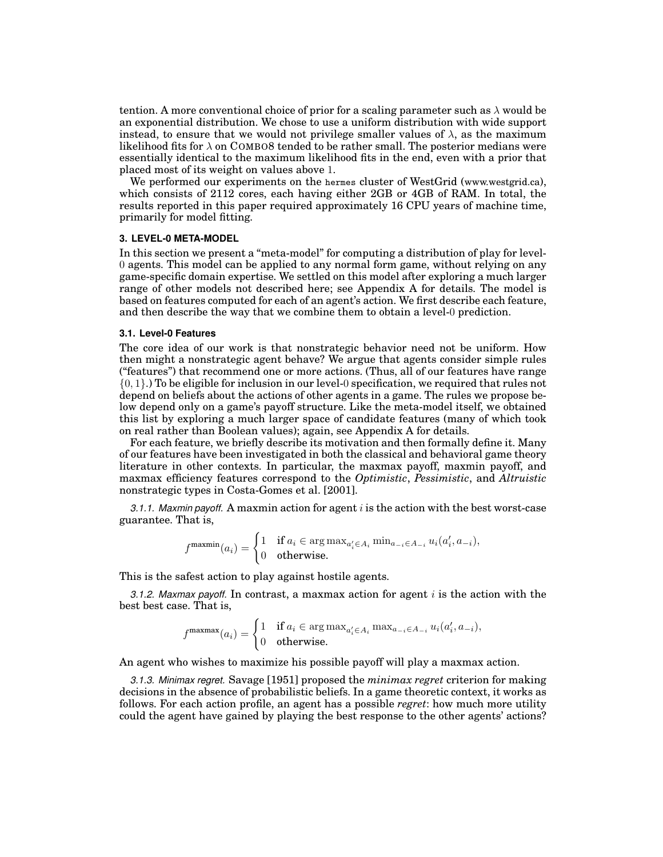tention. A more conventional choice of prior for a scaling parameter such as  $\lambda$  would be an exponential distribution. We chose to use a uniform distribution with wide support instead, to ensure that we would not privilege smaller values of  $\lambda$ , as the maximum likelihood fits for  $\lambda$  on COMBO8 tended to be rather small. The posterior medians were essentially identical to the maximum likelihood fits in the end, even with a prior that placed most of its weight on values above 1.

We performed our experiments on the hermes cluster of WestGrid (www.westgrid.ca), which consists of 2112 cores, each having either 2GB or 4GB of RAM. In total, the results reported in this paper required approximately 16 CPU years of machine time, primarily for model fitting.

# **3. LEVEL-0 META-MODEL**

In this section we present a "meta-model" for computing a distribution of play for level-0 agents. This model can be applied to any normal form game, without relying on any game-specific domain expertise. We settled on this model after exploring a much larger range of other models not described here; see Appendix A for details. The model is based on features computed for each of an agent's action. We first describe each feature, and then describe the way that we combine them to obtain a level-0 prediction.

# **3.1. Level-0 Features**

The core idea of our work is that nonstrategic behavior need not be uniform. How then might a nonstrategic agent behave? We argue that agents consider simple rules ("features") that recommend one or more actions. (Thus, all of our features have range  $\{0, 1\}$ .) To be eligible for inclusion in our level-0 specification, we required that rules not depend on beliefs about the actions of other agents in a game. The rules we propose below depend only on a game's payoff structure. Like the meta-model itself, we obtained this list by exploring a much larger space of candidate features (many of which took on real rather than Boolean values); again, see Appendix A for details.

For each feature, we briefly describe its motivation and then formally define it. Many of our features have been investigated in both the classical and behavioral game theory literature in other contexts. In particular, the maxmax payoff, maxmin payoff, and maxmax efficiency features correspond to the *Optimistic*, *Pessimistic*, and *Altruistic* nonstrategic types in Costa-Gomes et al. [2001].

*3.1.1. Maxmin payoff.* A maxmin action for agent  $i$  is the action with the best worst-case guarantee. That is,

$$
f^{\text{maxmin}}(a_i) = \begin{cases} 1 & \text{if } a_i \in \arg \max_{a'_i \in A_i} \min_{a_{-i} \in A_{-i}} u_i(a'_i, a_{-i}), \\ 0 & \text{otherwise.} \end{cases}
$$

This is the safest action to play against hostile agents.

*3.1.2. Maxmax payoff.* In contrast, a maxmax action for agent i is the action with the best best case. That is,

$$
f^{\max \max}(a_i) = \begin{cases} 1 & \text{if } a_i \in \arg \max_{a'_i \in A_i} \max_{a_{-i} \in A_{-i}} u_i(a'_i, a_{-i}), \\ 0 & \text{otherwise.} \end{cases}
$$

An agent who wishes to maximize his possible payoff will play a maxmax action.

*3.1.3. Minimax regret.* Savage [1951] proposed the *minimax regret* criterion for making decisions in the absence of probabilistic beliefs. In a game theoretic context, it works as follows. For each action profile, an agent has a possible *regret*: how much more utility could the agent have gained by playing the best response to the other agents' actions?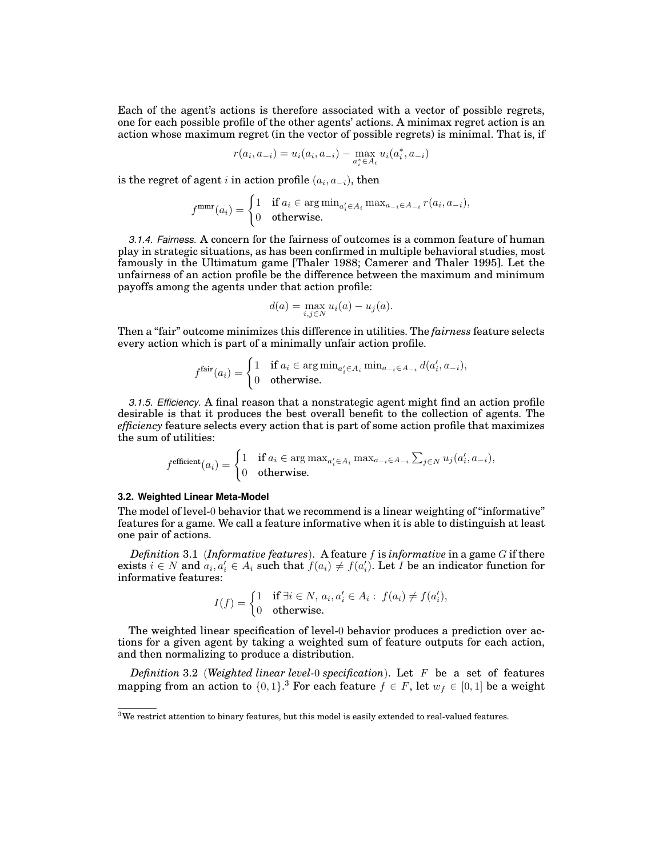Each of the agent's actions is therefore associated with a vector of possible regrets, one for each possible profile of the other agents' actions. A minimax regret action is an action whose maximum regret (in the vector of possible regrets) is minimal. That is, if

$$
r(a_i, a_{-i}) = u_i(a_i, a_{-i}) - \max_{a_i^* \in A_i} u_i(a_i^*, a_{-i})
$$

is the regret of agent  $i$  in action profile  $(a_i, a_{-i})$ , then

$$
f^{\text{mmr}}(a_i) = \begin{cases} 1 & \text{if } a_i \in \arg\min_{a'_i \in A_i} \max_{a_{-i} \in A_{-i}} r(a_i, a_{-i}), \\ 0 & \text{otherwise.} \end{cases}
$$

*3.1.4. Fairness.* A concern for the fairness of outcomes is a common feature of human play in strategic situations, as has been confirmed in multiple behavioral studies, most famously in the Ultimatum game [Thaler 1988; Camerer and Thaler 1995]. Let the unfairness of an action profile be the difference between the maximum and minimum payoffs among the agents under that action profile:

$$
d(a) = \max_{i,j \in N} u_i(a) - u_j(a).
$$

Then a "fair" outcome minimizes this difference in utilities. The *fairness* feature selects every action which is part of a minimally unfair action profile.

$$
f^{\text{fair}}(a_i) = \begin{cases} 1 & \text{if } a_i \in \arg\min_{a_i' \in A_i} \min_{a_{-i} \in A_{-i}} d(a_i', a_{-i}), \\ 0 & \text{otherwise.} \end{cases}
$$

*3.1.5. Efficiency.* A final reason that a nonstrategic agent might find an action profile desirable is that it produces the best overall benefit to the collection of agents. The *efficiency* feature selects every action that is part of some action profile that maximizes the sum of utilities:

$$
f^{\text{efficient}}(a_i) = \begin{cases} 1 & \text{if } a_i \in \arg\max_{a_i' \in A_i} \max_{a_{-i} \in A_{-i}} \sum_{j \in N} u_j(a_i', a_{-i}), \\ 0 & \text{otherwise.} \end{cases}
$$

#### **3.2. Weighted Linear Meta-Model**

The model of level-0 behavior that we recommend is a linear weighting of "informative" features for a game. We call a feature informative when it is able to distinguish at least one pair of actions.

*Definition* 3.1 (*Informative features*). A feature f is *informative* in a game G if there exists  $i \in N$  and  $a_i, a'_i \in A_i$  such that  $f(a_i) \neq f(a'_i)$ . Let *I* be an indicator function for informative features:

$$
I(f) = \begin{cases} 1 & \text{if } \exists i \in N, a_i, a'_i \in A_i : f(a_i) \neq f(a'_i), \\ 0 & \text{otherwise.} \end{cases}
$$

The weighted linear specification of level-0 behavior produces a prediction over actions for a given agent by taking a weighted sum of feature outputs for each action, and then normalizing to produce a distribution.

*Definition* 3.2 (*Weighted linear level-*0 *specification*). Let F be a set of features mapping from an action to  $\{0,1\}$ .<sup>3</sup> For each feature  $f \in F$ , let  $w_f \in [0,1]$  be a weight

<sup>3</sup>We restrict attention to binary features, but this model is easily extended to real-valued features.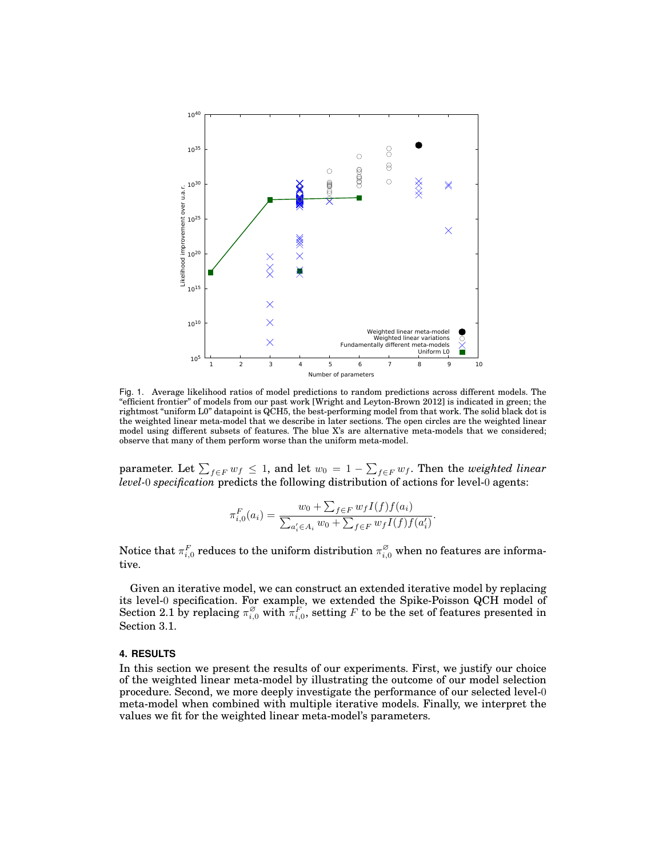

Fig. 1. Average likelihood ratios of model predictions to random predictions across different models. The "efficient frontier" of models from our past work [Wright and Leyton-Brown 2012] is indicated in green; the rightmost "uniform L0" datapoint is QCH5, the best-performing model from that work. The solid black dot is the weighted linear meta-model that we describe in later sections. The open circles are the weighted linear model using different subsets of features. The blue X's are alternative meta-models that we considered; observe that many of them perform worse than the uniform meta-model.

parameter. Let  $\sum_{f \in F} w_f \leq 1$ , and let  $w_0 = 1 - \sum_{f \in F} w_f$ . Then the *weighted linear level-*0 *specification* predicts the following distribution of actions for level-0 agents:

$$
\pi_{i,0}^F(a_i) = \frac{w_0 + \sum_{f \in F} w_f I(f) f(a_i)}{\sum_{a_i' \in A_i} w_0 + \sum_{f \in F} w_f I(f) f(a_i')}.
$$

Notice that  $\pi^F_{i,0}$  reduces to the uniform distribution  $\pi^\varnothing_{i,0}$  when no features are informative.

Given an iterative model, we can construct an extended iterative model by replacing its level-0 specification. For example, we extended the Spike-Poisson QCH model of Section 2.1 by replacing  $\pi^{\varnothing}_{i,0}$  with  $\pi^F_{i,0}$ , setting F to be the set of features presented in Section 3.1.

# **4. RESULTS**

In this section we present the results of our experiments. First, we justify our choice of the weighted linear meta-model by illustrating the outcome of our model selection procedure. Second, we more deeply investigate the performance of our selected level-0 meta-model when combined with multiple iterative models. Finally, we interpret the values we fit for the weighted linear meta-model's parameters.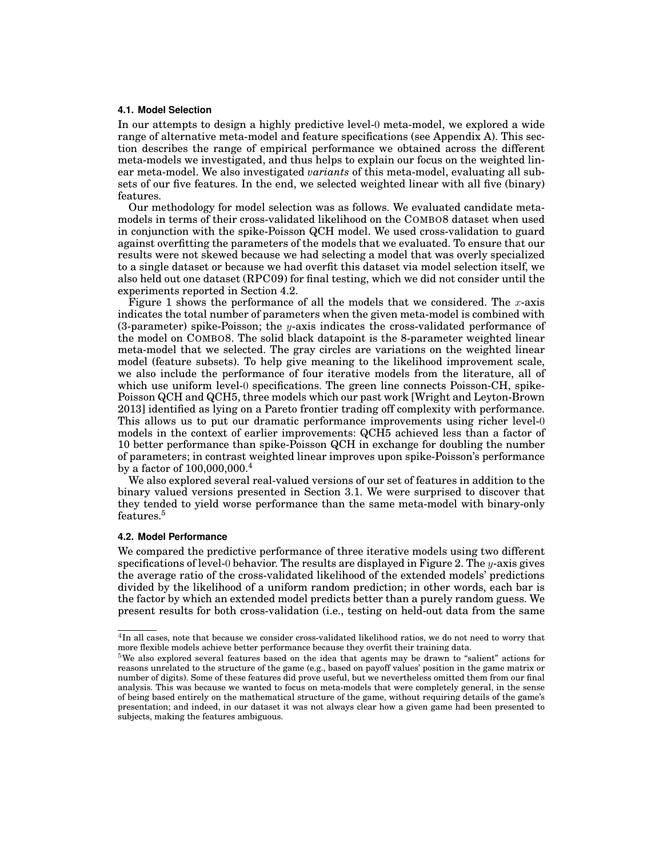#### **4.1. Model Selection**

In our attempts to design a highly predictive level-0 meta-model, we explored a wide range of alternative meta-model and feature specifications (see Appendix A). This section describes the range of empirical performance we obtained across the different meta-models we investigated, and thus helps to explain our focus on the weighted linear meta-model. We also investigated *variants* of this meta-model, evaluating all subsets of our five features. In the end, we selected weighted linear with all five (binary) features.

Our methodology for model selection was as follows. We evaluated candidate metamodels in terms of their cross-validated likelihood on the COMBO8 dataset when used in conjunction with the spike-Poisson QCH model. We used cross-validation to guard against overfitting the parameters of the models that we evaluated. To ensure that our results were not skewed because we had selecting a model that was overly specialized to a single dataset or because we had overfit this dataset via model selection itself, we also held out one dataset (RPC09) for final testing, which we did not consider until the experiments reported in Section 4.2.

Figure 1 shows the performance of all the models that we considered. The x-axis indicates the total number of parameters when the given meta-model is combined with  $(3$ -parameter) spike-Poisson; the y-axis indicates the cross-validated performance of the model on COMBO8. The solid black datapoint is the 8-parameter weighted linear meta-model that we selected. The gray circles are variations on the weighted linear model (feature subsets). To help give meaning to the likelihood improvement scale, we also include the performance of four iterative models from the literature, all of which use uniform level-0 specifications. The green line connects Poisson-CH, spike-Poisson QCH and QCH5, three models which our past work [Wright and Leyton-Brown 2013] identified as lying on a Pareto frontier trading off complexity with performance. This allows us to put our dramatic performance improvements using richer level-0 models in the context of earlier improvements: QCH5 achieved less than a factor of 10 better performance than spike-Poisson QCH in exchange for doubling the number of parameters; in contrast weighted linear improves upon spike-Poisson's performance by a factor of 100,000,000.<sup>4</sup>

We also explored several real-valued versions of our set of features in addition to the binary valued versions presented in Section 3.1. We were surprised to discover that they tended to yield worse performance than the same meta-model with binary-only features.<sup>5</sup>

# **4.2. Model Performance**

We compared the predictive performance of three iterative models using two different specifications of level-0 behavior. The results are displayed in Figure 2. The y-axis gives the average ratio of the cross-validated likelihood of the extended models' predictions divided by the likelihood of a uniform random prediction; in other words, each bar is the factor by which an extended model predicts better than a purely random guess. We present results for both cross-validation (i.e., testing on held-out data from the same

 $^{4}$ In all cases, note that because we consider cross-validated likelihood ratios, we do not need to worry that more flexible models achieve better performance because they overfit their training data.

<sup>5</sup>We also explored several features based on the idea that agents may be drawn to "salient" actions for reasons unrelated to the structure of the game (e.g., based on payoff values' position in the game matrix or number of digits). Some of these features did prove useful, but we nevertheless omitted them from our final analysis. This was because we wanted to focus on meta-models that were completely general, in the sense of being based entirely on the mathematical structure of the game, without requiring details of the game's presentation; and indeed, in our dataset it was not always clear how a given game had been presented to subjects, making the features ambiguous.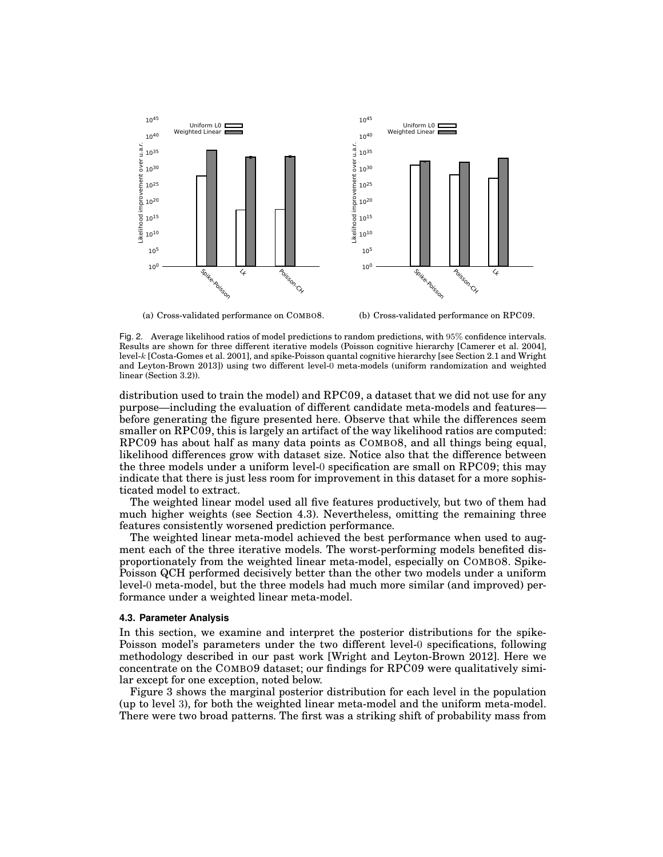

(a) Cross-validated performance on COMBO8.

(b) Cross-validated performance on RPC09.

Fig. 2. Average likelihood ratios of model predictions to random predictions, with 95% confidence intervals. Results are shown for three different iterative models (Poisson cognitive hierarchy [Camerer et al. 2004], level-k [Costa-Gomes et al. 2001], and spike-Poisson quantal cognitive hierarchy [see Section 2.1 and Wright and Leyton-Brown 2013]) using two different level-0 meta-models (uniform randomization and weighted linear (Section 3.2)).

distribution used to train the model) and RPC09, a dataset that we did not use for any purpose—including the evaluation of different candidate meta-models and features before generating the figure presented here. Observe that while the differences seem smaller on RPC09, this is largely an artifact of the way likelihood ratios are computed: RPC09 has about half as many data points as COMBO8, and all things being equal, likelihood differences grow with dataset size. Notice also that the difference between the three models under a uniform level-0 specification are small on RPC09; this may indicate that there is just less room for improvement in this dataset for a more sophisticated model to extract.

The weighted linear model used all five features productively, but two of them had much higher weights (see Section 4.3). Nevertheless, omitting the remaining three features consistently worsened prediction performance.

The weighted linear meta-model achieved the best performance when used to augment each of the three iterative models. The worst-performing models benefited disproportionately from the weighted linear meta-model, especially on COMBO8. Spike-Poisson QCH performed decisively better than the other two models under a uniform level-0 meta-model, but the three models had much more similar (and improved) performance under a weighted linear meta-model.

#### **4.3. Parameter Analysis**

In this section, we examine and interpret the posterior distributions for the spike-Poisson model's parameters under the two different level-0 specifications, following methodology described in our past work [Wright and Leyton-Brown 2012]. Here we concentrate on the COMBO9 dataset; our findings for RPC09 were qualitatively similar except for one exception, noted below.

Figure 3 shows the marginal posterior distribution for each level in the population (up to level 3), for both the weighted linear meta-model and the uniform meta-model. There were two broad patterns. The first was a striking shift of probability mass from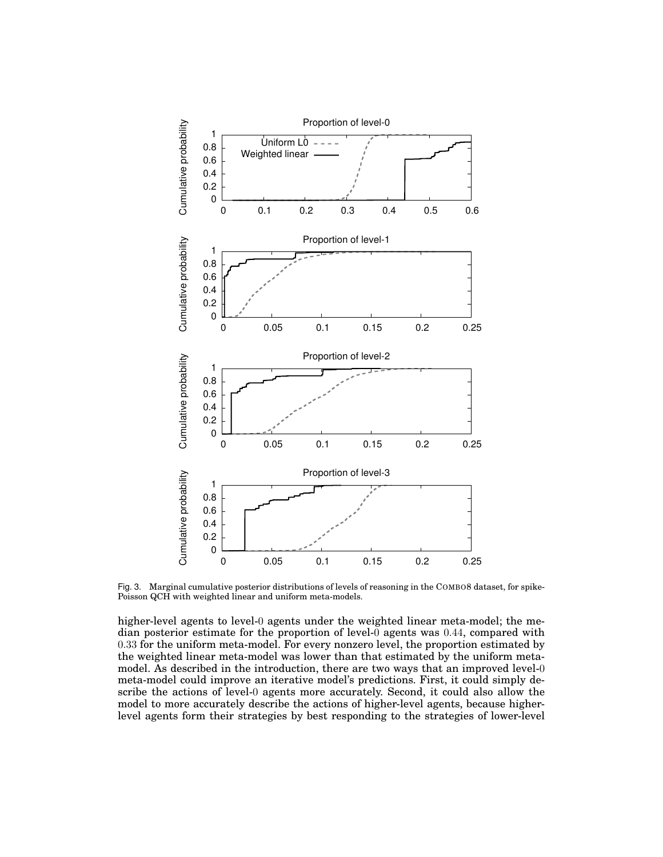

Fig. 3. Marginal cumulative posterior distributions of levels of reasoning in the COMBO8 dataset, for spike-Poisson QCH with weighted linear and uniform meta-models.

higher-level agents to level-0 agents under the weighted linear meta-model; the median posterior estimate for the proportion of level-0 agents was 0.44, compared with 0.33 for the uniform meta-model. For every nonzero level, the proportion estimated by the weighted linear meta-model was lower than that estimated by the uniform metamodel. As described in the introduction, there are two ways that an improved level-0 meta-model could improve an iterative model's predictions. First, it could simply describe the actions of level-0 agents more accurately. Second, it could also allow the model to more accurately describe the actions of higher-level agents, because higherlevel agents form their strategies by best responding to the strategies of lower-level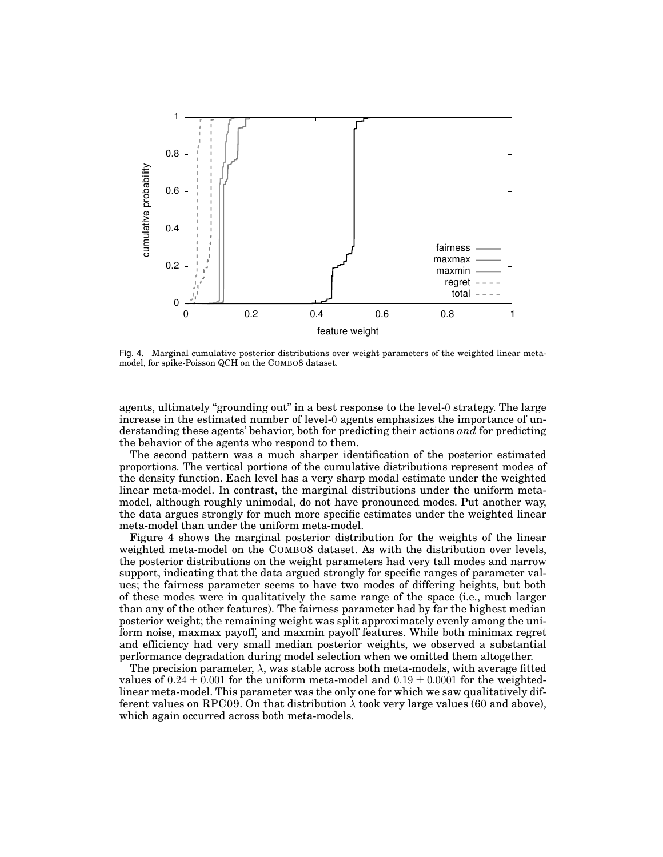

Fig. 4. Marginal cumulative posterior distributions over weight parameters of the weighted linear metamodel, for spike-Poisson QCH on the COMBO8 dataset.

agents, ultimately "grounding out" in a best response to the level-0 strategy. The large increase in the estimated number of level-0 agents emphasizes the importance of understanding these agents' behavior, both for predicting their actions *and* for predicting the behavior of the agents who respond to them.

The second pattern was a much sharper identification of the posterior estimated proportions. The vertical portions of the cumulative distributions represent modes of the density function. Each level has a very sharp modal estimate under the weighted linear meta-model. In contrast, the marginal distributions under the uniform metamodel, although roughly unimodal, do not have pronounced modes. Put another way, the data argues strongly for much more specific estimates under the weighted linear meta-model than under the uniform meta-model.

Figure 4 shows the marginal posterior distribution for the weights of the linear weighted meta-model on the COMBO8 dataset. As with the distribution over levels, the posterior distributions on the weight parameters had very tall modes and narrow support, indicating that the data argued strongly for specific ranges of parameter values; the fairness parameter seems to have two modes of differing heights, but both of these modes were in qualitatively the same range of the space (i.e., much larger than any of the other features). The fairness parameter had by far the highest median posterior weight; the remaining weight was split approximately evenly among the uniform noise, maxmax payoff, and maxmin payoff features. While both minimax regret and efficiency had very small median posterior weights, we observed a substantial performance degradation during model selection when we omitted them altogether.

The precision parameter,  $\lambda$ , was stable across both meta-models, with average fitted values of  $0.24 \pm 0.001$  for the uniform meta-model and  $0.19 \pm 0.0001$  for the weightedlinear meta-model. This parameter was the only one for which we saw qualitatively different values on RPC09. On that distribution  $\lambda$  took very large values (60 and above), which again occurred across both meta-models.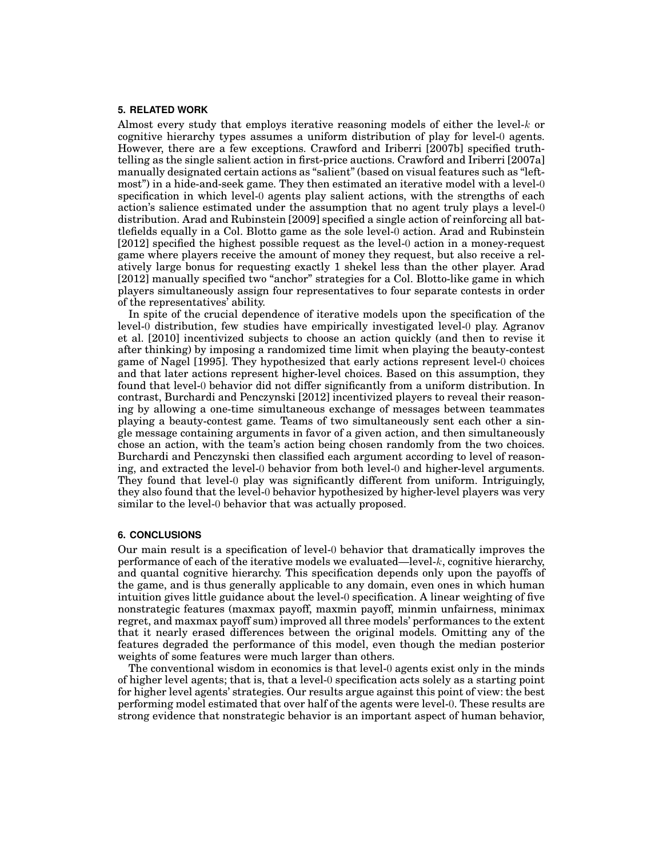#### **5. RELATED WORK**

Almost every study that employs iterative reasoning models of either the level- $k$  or cognitive hierarchy types assumes a uniform distribution of play for level-0 agents. However, there are a few exceptions. Crawford and Iriberri [2007b] specified truthtelling as the single salient action in first-price auctions. Crawford and Iriberri [2007a] manually designated certain actions as "salient" (based on visual features such as "leftmost") in a hide-and-seek game. They then estimated an iterative model with a level-0 specification in which level-0 agents play salient actions, with the strengths of each action's salience estimated under the assumption that no agent truly plays a level-0 distribution. Arad and Rubinstein [2009] specified a single action of reinforcing all battlefields equally in a Col. Blotto game as the sole level-0 action. Arad and Rubinstein [2012] specified the highest possible request as the level-0 action in a money-request game where players receive the amount of money they request, but also receive a relatively large bonus for requesting exactly 1 shekel less than the other player. Arad [2012] manually specified two "anchor" strategies for a Col. Blotto-like game in which players simultaneously assign four representatives to four separate contests in order of the representatives' ability.

In spite of the crucial dependence of iterative models upon the specification of the level-0 distribution, few studies have empirically investigated level-0 play. Agranov et al. [2010] incentivized subjects to choose an action quickly (and then to revise it after thinking) by imposing a randomized time limit when playing the beauty-contest game of Nagel [1995]. They hypothesized that early actions represent level-0 choices and that later actions represent higher-level choices. Based on this assumption, they found that level-0 behavior did not differ significantly from a uniform distribution. In contrast, Burchardi and Penczynski [2012] incentivized players to reveal their reasoning by allowing a one-time simultaneous exchange of messages between teammates playing a beauty-contest game. Teams of two simultaneously sent each other a single message containing arguments in favor of a given action, and then simultaneously chose an action, with the team's action being chosen randomly from the two choices. Burchardi and Penczynski then classified each argument according to level of reasoning, and extracted the level-0 behavior from both level-0 and higher-level arguments. They found that level-0 play was significantly different from uniform. Intriguingly, they also found that the level-0 behavior hypothesized by higher-level players was very similar to the level-0 behavior that was actually proposed.

# **6. CONCLUSIONS**

Our main result is a specification of level-0 behavior that dramatically improves the performance of each of the iterative models we evaluated—level-k, cognitive hierarchy, and quantal cognitive hierarchy. This specification depends only upon the payoffs of the game, and is thus generally applicable to any domain, even ones in which human intuition gives little guidance about the level-0 specification. A linear weighting of five nonstrategic features (maxmax payoff, maxmin payoff, minmin unfairness, minimax regret, and maxmax payoff sum) improved all three models' performances to the extent that it nearly erased differences between the original models. Omitting any of the features degraded the performance of this model, even though the median posterior weights of some features were much larger than others.

The conventional wisdom in economics is that level-0 agents exist only in the minds of higher level agents; that is, that a level-0 specification acts solely as a starting point for higher level agents' strategies. Our results argue against this point of view: the best performing model estimated that over half of the agents were level-0. These results are strong evidence that nonstrategic behavior is an important aspect of human behavior,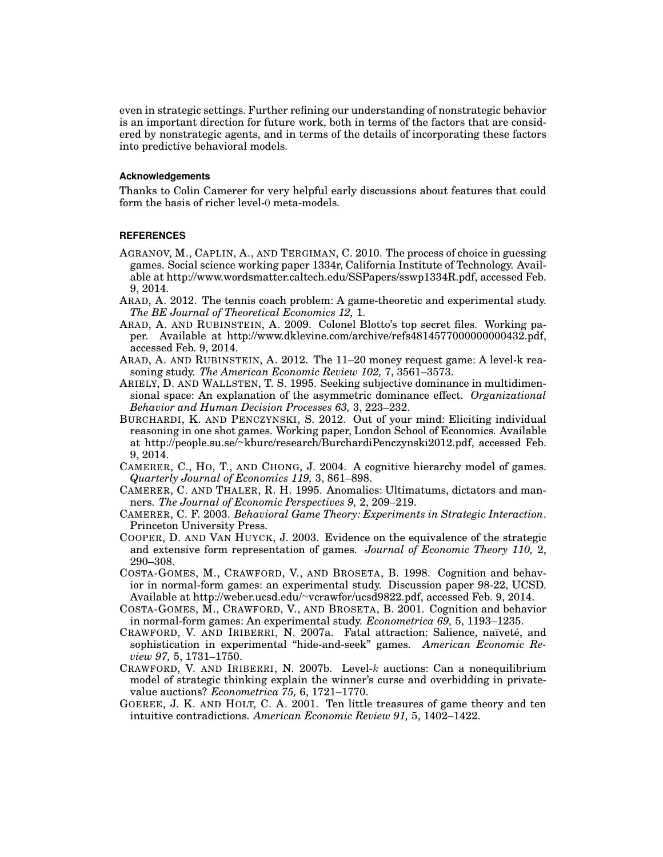even in strategic settings. Further refining our understanding of nonstrategic behavior is an important direction for future work, both in terms of the factors that are considered by nonstrategic agents, and in terms of the details of incorporating these factors into predictive behavioral models.

#### **Acknowledgements**

Thanks to Colin Camerer for very helpful early discussions about features that could form the basis of richer level-0 meta-models.

### **REFERENCES**

- AGRANOV, M., CAPLIN, A., AND TERGIMAN, C. 2010. The process of choice in guessing games. Social science working paper 1334r, California Institute of Technology. Available at http://www.wordsmatter.caltech.edu/SSPapers/sswp1334R.pdf, accessed Feb. 9, 2014.
- ARAD, A. 2012. The tennis coach problem: A game-theoretic and experimental study. *The BE Journal of Theoretical Economics 12,* 1.
- ARAD, A. AND RUBINSTEIN, A. 2009. Colonel Blotto's top secret files. Working paper. Available at http://www.dklevine.com/archive/refs4814577000000000432.pdf, accessed Feb. 9, 2014.
- ARAD, A. AND RUBINSTEIN, A. 2012. The 11–20 money request game: A level-k reasoning study. *The American Economic Review 102,* 7, 3561–3573.
- ARIELY, D. AND WALLSTEN, T. S. 1995. Seeking subjective dominance in multidimensional space: An explanation of the asymmetric dominance effect. *Organizational Behavior and Human Decision Processes 63,* 3, 223–232.
- BURCHARDI, K. AND PENCZYNSKI, S. 2012. Out of your mind: Eliciting individual reasoning in one shot games. Working paper, London School of Economics. Available at http://people.su.se/∼kburc/research/BurchardiPenczynski2012.pdf, accessed Feb. 9, 2014.
- CAMERER, C., HO, T., AND CHONG, J. 2004. A cognitive hierarchy model of games. *Quarterly Journal of Economics 119,* 3, 861–898.
- CAMERER, C. AND THALER, R. H. 1995. Anomalies: Ultimatums, dictators and manners. *The Journal of Economic Perspectives 9,* 2, 209–219.
- CAMERER, C. F. 2003. *Behavioral Game Theory: Experiments in Strategic Interaction*. Princeton University Press.
- COOPER, D. AND VAN HUYCK, J. 2003. Evidence on the equivalence of the strategic and extensive form representation of games. *Journal of Economic Theory 110,* 2, 290–308.
- COSTA-GOMES, M., CRAWFORD, V., AND BROSETA, B. 1998. Cognition and behavior in normal-form games: an experimental study. Discussion paper 98-22, UCSD. Available at http://weber.ucsd.edu/∼vcrawfor/ucsd9822.pdf, accessed Feb. 9, 2014.
- COSTA-GOMES, M., CRAWFORD, V., AND BROSETA, B. 2001. Cognition and behavior in normal-form games: An experimental study. *Econometrica 69,* 5, 1193–1235.
- CRAWFORD, V. AND IRIBERRI, N. 2007a. Fatal attraction: Salience, naïveté, and sophistication in experimental "hide-and-seek" games. *American Economic Review 97,* 5, 1731–1750.
- CRAWFORD, V. AND IRIBERRI, N. 2007b. Level- $k$  auctions: Can a nonequilibrium model of strategic thinking explain the winner's curse and overbidding in privatevalue auctions? *Econometrica 75,* 6, 1721–1770.
- GOEREE, J. K. AND HOLT, C. A. 2001. Ten little treasures of game theory and ten intuitive contradictions. *American Economic Review 91,* 5, 1402–1422.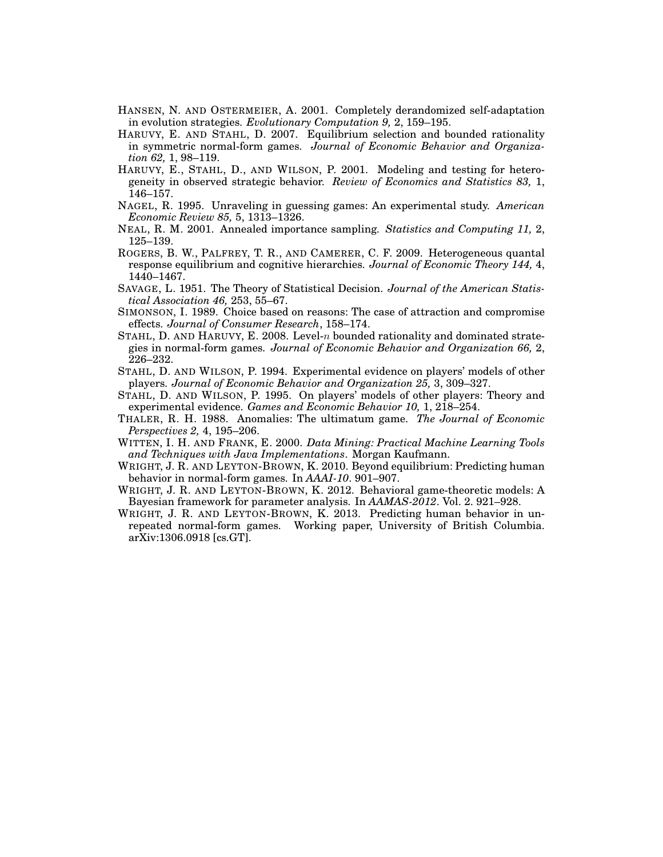- HANSEN, N. AND OSTERMEIER, A. 2001. Completely derandomized self-adaptation in evolution strategies. *Evolutionary Computation 9,* 2, 159–195.
- HARUVY, E. AND STAHL, D. 2007. Equilibrium selection and bounded rationality in symmetric normal-form games. *Journal of Economic Behavior and Organization 62,* 1, 98–119.
- HARUVY, E., STAHL, D., AND WILSON, P. 2001. Modeling and testing for heterogeneity in observed strategic behavior. *Review of Economics and Statistics 83,* 1, 146–157.
- NAGEL, R. 1995. Unraveling in guessing games: An experimental study. *American Economic Review 85,* 5, 1313–1326.
- NEAL, R. M. 2001. Annealed importance sampling. *Statistics and Computing 11,* 2, 125–139.
- ROGERS, B. W., PALFREY, T. R., AND CAMERER, C. F. 2009. Heterogeneous quantal response equilibrium and cognitive hierarchies. *Journal of Economic Theory 144,* 4, 1440–1467.
- SAVAGE, L. 1951. The Theory of Statistical Decision. *Journal of the American Statistical Association 46,* 253, 55–67.
- SIMONSON, I. 1989. Choice based on reasons: The case of attraction and compromise effects. *Journal of Consumer Research*, 158–174.
- STAHL, D. AND HARUVY, E. 2008. Level- $n$  bounded rationality and dominated strategies in normal-form games. *Journal of Economic Behavior and Organization 66,* 2, 226–232.
- STAHL, D. AND WILSON, P. 1994. Experimental evidence on players' models of other players. *Journal of Economic Behavior and Organization 25,* 3, 309–327.
- STAHL, D. AND WILSON, P. 1995. On players' models of other players: Theory and experimental evidence. *Games and Economic Behavior 10,* 1, 218–254.
- THALER, R. H. 1988. Anomalies: The ultimatum game. *The Journal of Economic Perspectives 2,* 4, 195–206.
- WITTEN, I. H. AND FRANK, E. 2000. *Data Mining: Practical Machine Learning Tools and Techniques with Java Implementations*. Morgan Kaufmann.
- WRIGHT, J. R. AND LEYTON-BROWN, K. 2010. Beyond equilibrium: Predicting human behavior in normal-form games. In *AAAI-10*. 901–907.
- WRIGHT, J. R. AND LEYTON-BROWN, K. 2012. Behavioral game-theoretic models: A Bayesian framework for parameter analysis. In *AAMAS-2012*. Vol. 2. 921–928.
- WRIGHT, J. R. AND LEYTON-BROWN, K. 2013. Predicting human behavior in unrepeated normal-form games. Working paper, University of British Columbia. arXiv:1306.0918 [cs.GT].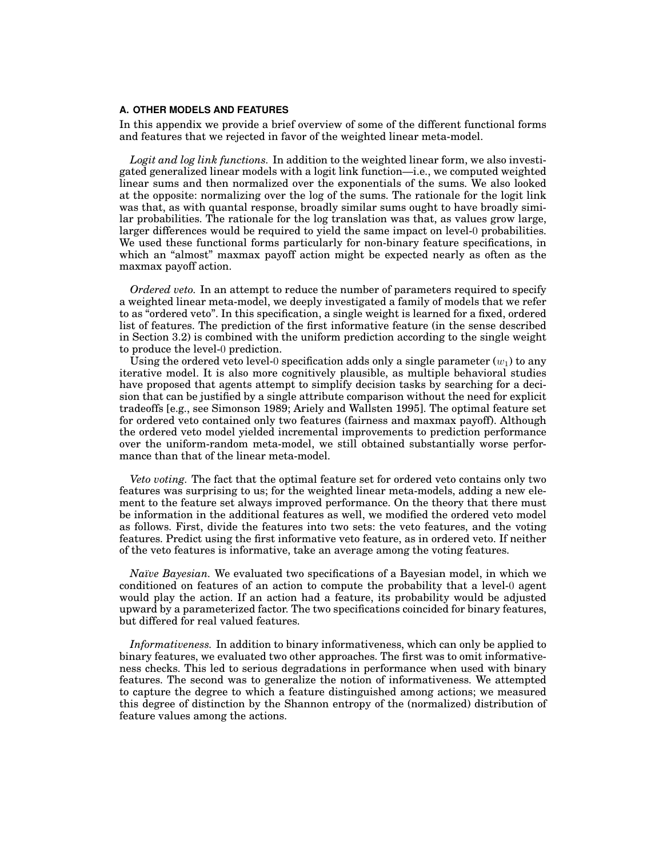#### **A. OTHER MODELS AND FEATURES**

In this appendix we provide a brief overview of some of the different functional forms and features that we rejected in favor of the weighted linear meta-model.

*Logit and log link functions.* In addition to the weighted linear form, we also investigated generalized linear models with a logit link function—i.e., we computed weighted linear sums and then normalized over the exponentials of the sums. We also looked at the opposite: normalizing over the log of the sums. The rationale for the logit link was that, as with quantal response, broadly similar sums ought to have broadly similar probabilities. The rationale for the log translation was that, as values grow large, larger differences would be required to yield the same impact on level-0 probabilities. We used these functional forms particularly for non-binary feature specifications, in which an "almost" maxmax payoff action might be expected nearly as often as the maxmax payoff action.

*Ordered veto.* In an attempt to reduce the number of parameters required to specify a weighted linear meta-model, we deeply investigated a family of models that we refer to as "ordered veto". In this specification, a single weight is learned for a fixed, ordered list of features. The prediction of the first informative feature (in the sense described in Section 3.2) is combined with the uniform prediction according to the single weight to produce the level-0 prediction.

Using the ordered veto level-0 specification adds only a single parameter  $(w_1)$  to any iterative model. It is also more cognitively plausible, as multiple behavioral studies have proposed that agents attempt to simplify decision tasks by searching for a decision that can be justified by a single attribute comparison without the need for explicit tradeoffs [e.g., see Simonson 1989; Ariely and Wallsten 1995]. The optimal feature set for ordered veto contained only two features (fairness and maxmax payoff). Although the ordered veto model yielded incremental improvements to prediction performance over the uniform-random meta-model, we still obtained substantially worse performance than that of the linear meta-model.

*Veto voting.* The fact that the optimal feature set for ordered veto contains only two features was surprising to us; for the weighted linear meta-models, adding a new element to the feature set always improved performance. On the theory that there must be information in the additional features as well, we modified the ordered veto model as follows. First, divide the features into two sets: the veto features, and the voting features. Predict using the first informative veto feature, as in ordered veto. If neither of the veto features is informative, take an average among the voting features.

*Na¨ıve Bayesian.* We evaluated two specifications of a Bayesian model, in which we conditioned on features of an action to compute the probability that a level-0 agent would play the action. If an action had a feature, its probability would be adjusted upward by a parameterized factor. The two specifications coincided for binary features, but differed for real valued features.

*Informativeness.* In addition to binary informativeness, which can only be applied to binary features, we evaluated two other approaches. The first was to omit informativeness checks. This led to serious degradations in performance when used with binary features. The second was to generalize the notion of informativeness. We attempted to capture the degree to which a feature distinguished among actions; we measured this degree of distinction by the Shannon entropy of the (normalized) distribution of feature values among the actions.